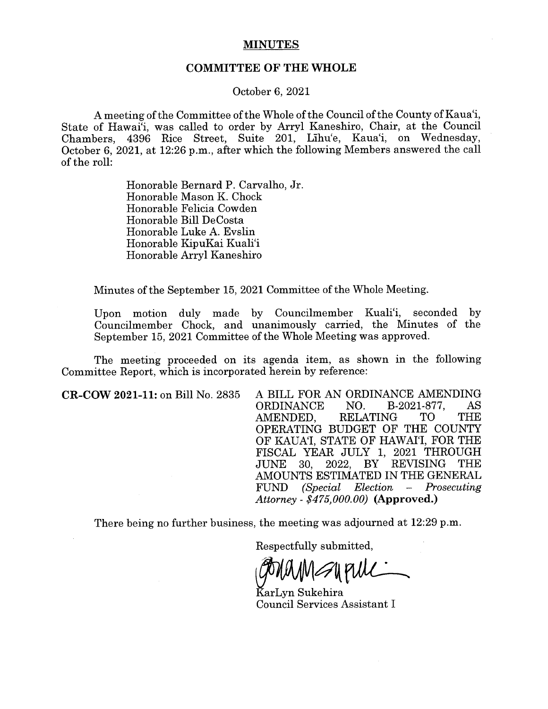## MINUTES

## COMMITTEE OF THE WHOLE

October 6, 2021

A meeting of the Committee of the Whole of the Council of the County of Kaua'i, State of Hawai'i, was called to order by Arryl Kaneshiro, Chair, at the Council Chambers, 4396 Rice Street, Suite 201, Lihu'e, Kaua'i, on Wednesday, October 6, 2021, at 12:26 p.m., after which the following Members answered the call of the roll:

> Honorable Bernard P. Carvalho, Jr. Honorable Mason K. Chock Honorable Felicia Cowden Honorable Bill DeCosta Honorable Luke A. Evslin Honorable KipuKai Kuali'i Honorable Arryl Kaneshiro

Minutes of the September 15, 2021 Committee of the Whole Meeting.

Upon motion duly made by Councilmember Kuali'i, seconded by Councilmember Chock, and unanimously carried, the Minutes of the September 15, 2021 Committee of the Whole Meeting was approved.

The meeting proceeded on its agenda item, as shown in the following Committee Report, which is incorporated herein by reference:

CR-COW 2021-11: on Bill No. 2835 A BILL FOR AN ORDINANCE AMENDING<br>
ORDINANCE NO. B-2021-877, AS ORDINANCE AMENDED, RELATING TO THE OPERATING BUDGET OF THE COUNTY OF KAUA'I, STATE OF HAWAI'I, FOR THE FISCAL YEAR JULY 1, 2021 THROUGH 2022. BY REVISING THE AMOUNTS ESTIMATED IN THE GENERAL<br>FUND (Special Election - Prosecuting FUND (Special Election — Prosecuting Attorney - \$475,000.00) (Approved.)

There being no further business, the meeting was adjourned at 12:29 p.m.

Respectfully submitted,

UPULL

KarLyn Sukehira Council Services Assistant I